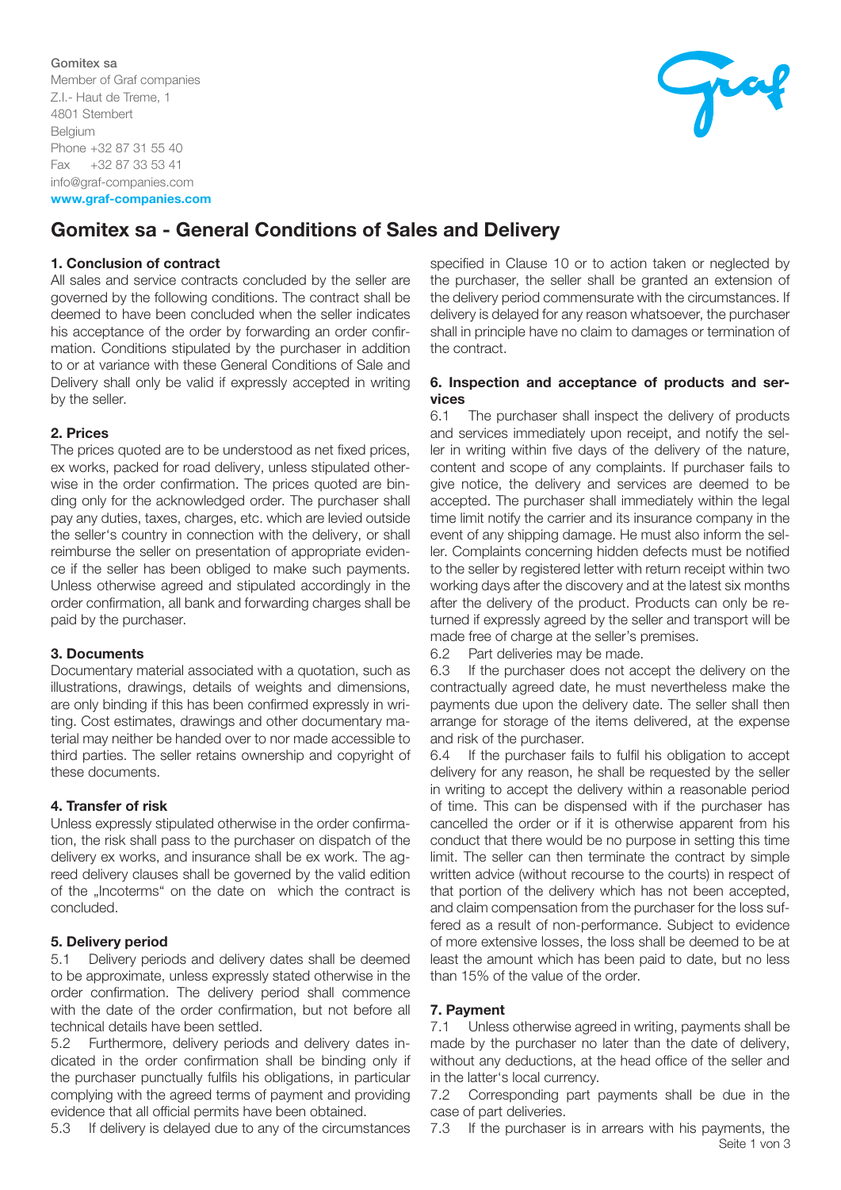## Gomitex sa

Member of Graf companies Z.I.- Haut de Treme, 1 4801 Stembert Belgium Phone +32 87 31 55 40 Fax +32 87 33 53 41 info@graf-companies.com www.graf-companies.com



# Gomitex sa - General Conditions of Sales and Delivery

#### 1. Conclusion of contract

All sales and service contracts concluded by the seller are governed by the following conditions. The contract shall be deemed to have been concluded when the seller indicates his acceptance of the order by forwarding an order confirmation. Conditions stipulated by the purchaser in addition to or at variance with these General Conditions of Sale and Delivery shall only be valid if expressly accepted in writing by the seller.

## 2. Prices

The prices quoted are to be understood as net fixed prices, ex works, packed for road delivery, unless stipulated otherwise in the order confirmation. The prices quoted are binding only for the acknowledged order. The purchaser shall pay any duties, taxes, charges, etc. which are levied outside the seller's country in connection with the delivery, or shall reimburse the seller on presentation of appropriate evidence if the seller has been obliged to make such payments. Unless otherwise agreed and stipulated accordingly in the order confirmation, all bank and forwarding charges shall be paid by the purchaser.

#### 3. Documents

Documentary material associated with a quotation, such as illustrations, drawings, details of weights and dimensions, are only binding if this has been confirmed expressly in writing. Cost estimates, drawings and other documentary material may neither be handed over to nor made accessible to third parties. The seller retains ownership and copyright of these documents.

# 4. Transfer of risk

Unless expressly stipulated otherwise in the order confirmation, the risk shall pass to the purchaser on dispatch of the delivery ex works, and insurance shall be ex work. The agreed delivery clauses shall be governed by the valid edition of the "Incoterms" on the date on which the contract is concluded.

#### 5. Delivery period

5.1 Delivery periods and delivery dates shall be deemed to be approximate, unless expressly stated otherwise in the order confirmation. The delivery period shall commence with the date of the order confirmation, but not before all technical details have been settled.

5.2 Furthermore, delivery periods and delivery dates indicated in the order confirmation shall be binding only if the purchaser punctually fulfils his obligations, in particular complying with the agreed terms of payment and providing evidence that all official permits have been obtained.

5.3 If delivery is delayed due to any of the circumstances

specified in Clause 10 or to action taken or neglected by the purchaser, the seller shall be granted an extension of the delivery period commensurate with the circumstances. If delivery is delayed for any reason whatsoever, the purchaser shall in principle have no claim to damages or termination of the contract.

## 6. Inspection and acceptance of products and services

6.1 The purchaser shall inspect the delivery of products and services immediately upon receipt, and notify the seller in writing within five days of the delivery of the nature, content and scope of any complaints. If purchaser fails to give notice, the delivery and services are deemed to be accepted. The purchaser shall immediately within the legal time limit notify the carrier and its insurance company in the event of any shipping damage. He must also inform the seller. Complaints concerning hidden defects must be notified to the seller by registered letter with return receipt within two working days after the discovery and at the latest six months after the delivery of the product. Products can only be returned if expressly agreed by the seller and transport will be made free of charge at the seller's premises.

6.2 Part deliveries may be made.

6.3 If the purchaser does not accept the delivery on the contractually agreed date, he must nevertheless make the payments due upon the delivery date. The seller shall then arrange for storage of the items delivered, at the expense and risk of the purchaser.

6.4 If the purchaser fails to fulfil his obligation to accept delivery for any reason, he shall be requested by the seller in writing to accept the delivery within a reasonable period of time. This can be dispensed with if the purchaser has cancelled the order or if it is otherwise apparent from his conduct that there would be no purpose in setting this time limit. The seller can then terminate the contract by simple written advice (without recourse to the courts) in respect of that portion of the delivery which has not been accepted, and claim compensation from the purchaser for the loss suffered as a result of non-performance. Subject to evidence of more extensive losses, the loss shall be deemed to be at least the amount which has been paid to date, but no less than 15% of the value of the order.

#### 7. Payment

7.1 Unless otherwise agreed in writing, payments shall be made by the purchaser no later than the date of delivery, without any deductions, at the head office of the seller and in the latter's local currency.

7.2 Corresponding part payments shall be due in the case of part deliveries.

Seite 1 von 3 7.3 If the purchaser is in arrears with his payments, the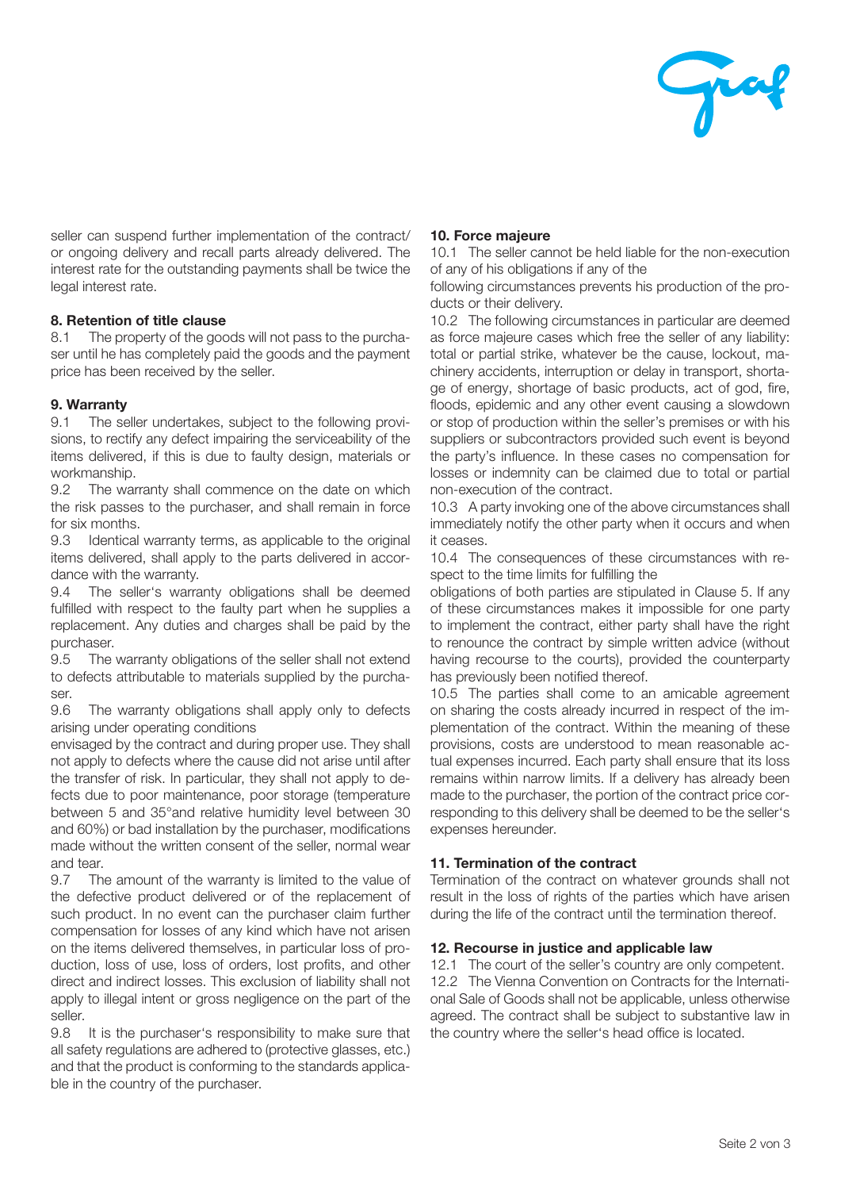

seller can suspend further implementation of the contract/ or ongoing delivery and recall parts already delivered. The interest rate for the outstanding payments shall be twice the legal interest rate.

## 8. Retention of title clause

8.1 The property of the goods will not pass to the purchaser until he has completely paid the goods and the payment price has been received by the seller.

## 9. Warranty

9.1 The seller undertakes, subject to the following provisions, to rectify any defect impairing the serviceability of the items delivered, if this is due to faulty design, materials or workmanship.

9.2 The warranty shall commence on the date on which the risk passes to the purchaser, and shall remain in force for six months.

9.3 Identical warranty terms, as applicable to the original items delivered, shall apply to the parts delivered in accordance with the warranty.

9.4 The seller's warranty obligations shall be deemed fulfilled with respect to the faulty part when he supplies a replacement. Any duties and charges shall be paid by the purchaser.

9.5 The warranty obligations of the seller shall not extend to defects attributable to materials supplied by the purchaser.

9.6 The warranty obligations shall apply only to defects arising under operating conditions

envisaged by the contract and during proper use. They shall not apply to defects where the cause did not arise until after the transfer of risk. In particular, they shall not apply to defects due to poor maintenance, poor storage (temperature between 5 and 35°and relative humidity level between 30 and 60%) or bad installation by the purchaser, modifications made without the written consent of the seller, normal wear and tear.

9.7 The amount of the warranty is limited to the value of the defective product delivered or of the replacement of such product. In no event can the purchaser claim further compensation for losses of any kind which have not arisen on the items delivered themselves, in particular loss of production, loss of use, loss of orders, lost profits, and other direct and indirect losses. This exclusion of liability shall not apply to illegal intent or gross negligence on the part of the seller.

9.8 It is the purchaser's responsibility to make sure that all safety regulations are adhered to (protective glasses, etc.) and that the product is conforming to the standards applicable in the country of the purchaser.

## 10. Force majeure

10.1 The seller cannot be held liable for the non-execution of any of his obligations if any of the

following circumstances prevents his production of the products or their delivery.

10.2 The following circumstances in particular are deemed as force majeure cases which free the seller of any liability: total or partial strike, whatever be the cause, lockout, machinery accidents, interruption or delay in transport, shortage of energy, shortage of basic products, act of god, fire, floods, epidemic and any other event causing a slowdown or stop of production within the seller's premises or with his suppliers or subcontractors provided such event is beyond the party's influence. In these cases no compensation for losses or indemnity can be claimed due to total or partial non-execution of the contract.

10.3 A party invoking one of the above circumstances shall immediately notify the other party when it occurs and when it ceases.

10.4 The consequences of these circumstances with respect to the time limits for fulfilling the

obligations of both parties are stipulated in Clause 5. If any of these circumstances makes it impossible for one party to implement the contract, either party shall have the right to renounce the contract by simple written advice (without having recourse to the courts), provided the counterparty has previously been notified thereof.

10.5 The parties shall come to an amicable agreement on sharing the costs already incurred in respect of the implementation of the contract. Within the meaning of these provisions, costs are understood to mean reasonable actual expenses incurred. Each party shall ensure that its loss remains within narrow limits. If a delivery has already been made to the purchaser, the portion of the contract price corresponding to this delivery shall be deemed to be the seller's expenses hereunder.

# 11. Termination of the contract

Termination of the contract on whatever grounds shall not result in the loss of rights of the parties which have arisen during the life of the contract until the termination thereof.

#### 12. Recourse in justice and applicable law

12.1 The court of the seller's country are only competent. 12.2 The Vienna Convention on Contracts for the International Sale of Goods shall not be applicable, unless otherwise agreed. The contract shall be subject to substantive law in the country where the seller's head office is located.